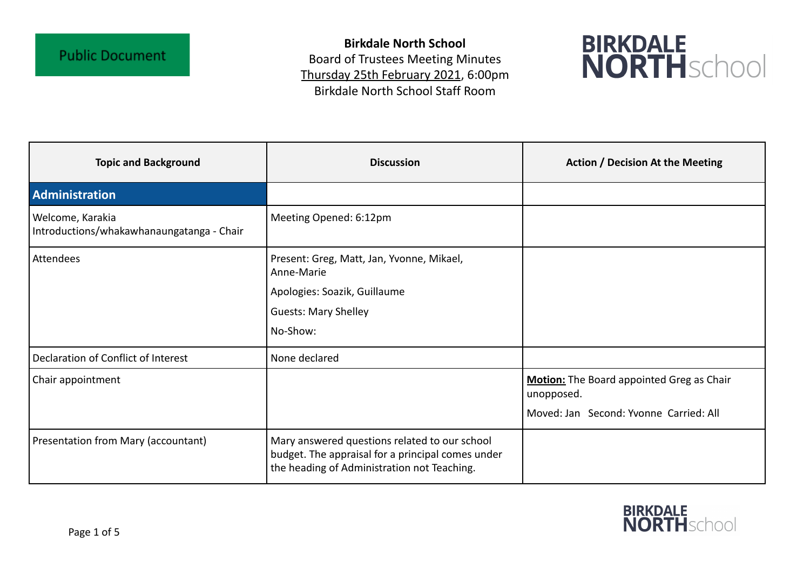**Birkdale North School** Board of Trustees Meeting Minutes Thursday 25th February 2021, 6:00pm Birkdale North School Staff Room



| <b>Topic and Background</b>                                   | <b>Discussion</b>                                                                                                                                 | <b>Action / Decision At the Meeting</b>                 |
|---------------------------------------------------------------|---------------------------------------------------------------------------------------------------------------------------------------------------|---------------------------------------------------------|
| Administration                                                |                                                                                                                                                   |                                                         |
| Welcome, Karakia<br>Introductions/whakawhanaungatanga - Chair | Meeting Opened: 6:12pm                                                                                                                            |                                                         |
| Attendees                                                     | Present: Greg, Matt, Jan, Yvonne, Mikael,<br>Anne-Marie                                                                                           |                                                         |
|                                                               | Apologies: Soazik, Guillaume                                                                                                                      |                                                         |
|                                                               | <b>Guests: Mary Shelley</b>                                                                                                                       |                                                         |
|                                                               | No-Show:                                                                                                                                          |                                                         |
| Declaration of Conflict of Interest                           | None declared                                                                                                                                     |                                                         |
| Chair appointment                                             |                                                                                                                                                   | Motion: The Board appointed Greg as Chair<br>unopposed. |
|                                                               |                                                                                                                                                   | Moved: Jan Second: Yvonne Carried: All                  |
| Presentation from Mary (accountant)                           | Mary answered questions related to our school<br>budget. The appraisal for a principal comes under<br>the heading of Administration not Teaching. |                                                         |

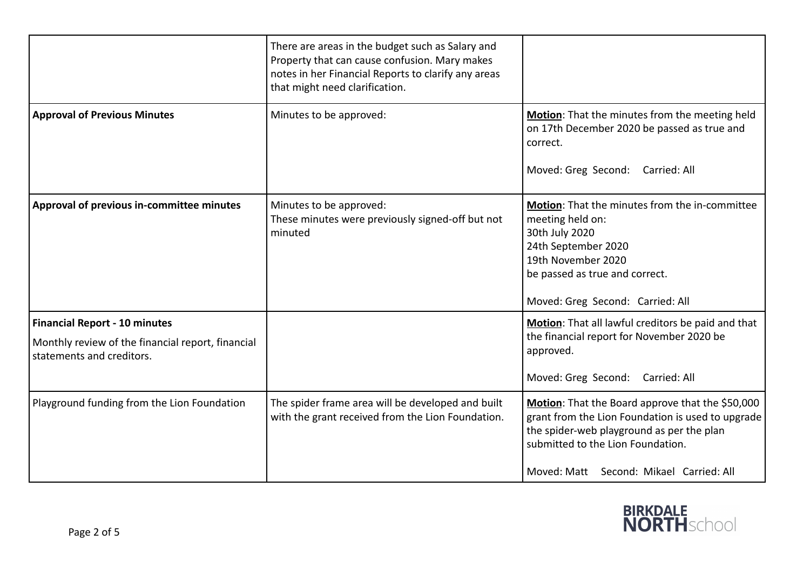|                                                                                                                        | There are areas in the budget such as Salary and<br>Property that can cause confusion. Mary makes<br>notes in her Financial Reports to clarify any areas<br>that might need clarification. |                                                                                                                                                                                                                                    |
|------------------------------------------------------------------------------------------------------------------------|--------------------------------------------------------------------------------------------------------------------------------------------------------------------------------------------|------------------------------------------------------------------------------------------------------------------------------------------------------------------------------------------------------------------------------------|
| <b>Approval of Previous Minutes</b>                                                                                    | Minutes to be approved:                                                                                                                                                                    | Motion: That the minutes from the meeting held<br>on 17th December 2020 be passed as true and<br>correct.<br>Moved: Greg Second: Carried: All                                                                                      |
| Approval of previous in-committee minutes                                                                              | Minutes to be approved:<br>These minutes were previously signed-off but not<br>minuted                                                                                                     | Motion: That the minutes from the in-committee<br>meeting held on:<br>30th July 2020<br>24th September 2020<br>19th November 2020<br>be passed as true and correct.<br>Moved: Greg Second: Carried: All                            |
| <b>Financial Report - 10 minutes</b><br>Monthly review of the financial report, financial<br>statements and creditors. |                                                                                                                                                                                            | Motion: That all lawful creditors be paid and that<br>the financial report for November 2020 be<br>approved.<br>Moved: Greg Second: Carried: All                                                                                   |
| Playground funding from the Lion Foundation                                                                            | The spider frame area will be developed and built<br>with the grant received from the Lion Foundation.                                                                                     | Motion: That the Board approve that the \$50,000<br>grant from the Lion Foundation is used to upgrade<br>the spider-web playground as per the plan<br>submitted to the Lion Foundation.<br>Moved: Matt Second: Mikael Carried: All |

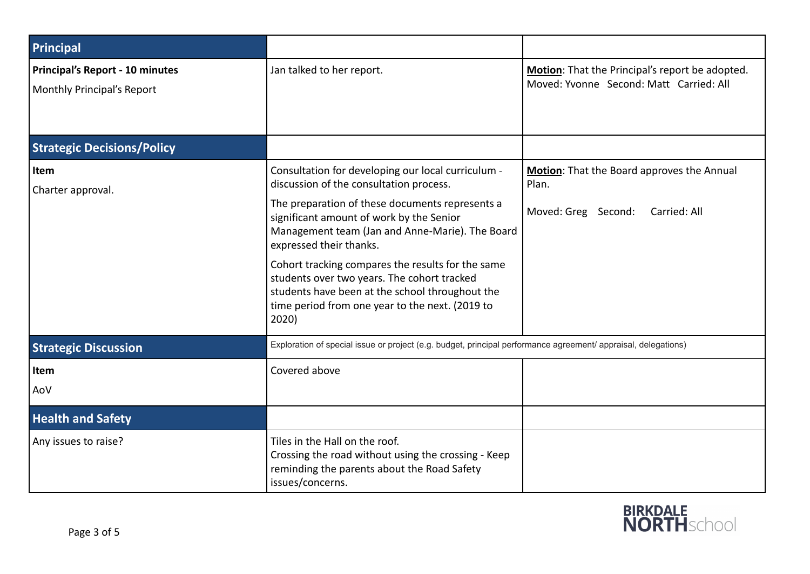| Principal                                                            |                                                                                                                                                                                                                                                                                                                                                                                                                                                                                               |                                                                                            |
|----------------------------------------------------------------------|-----------------------------------------------------------------------------------------------------------------------------------------------------------------------------------------------------------------------------------------------------------------------------------------------------------------------------------------------------------------------------------------------------------------------------------------------------------------------------------------------|--------------------------------------------------------------------------------------------|
| <b>Principal's Report - 10 minutes</b><br>Monthly Principal's Report | Jan talked to her report.                                                                                                                                                                                                                                                                                                                                                                                                                                                                     | Motion: That the Principal's report be adopted.<br>Moved: Yvonne Second: Matt Carried: All |
| <b>Strategic Decisions/Policy</b>                                    |                                                                                                                                                                                                                                                                                                                                                                                                                                                                                               |                                                                                            |
| Item<br>Charter approval.                                            | Consultation for developing our local curriculum -<br>discussion of the consultation process.<br>The preparation of these documents represents a<br>significant amount of work by the Senior<br>Management team (Jan and Anne-Marie). The Board<br>expressed their thanks.<br>Cohort tracking compares the results for the same<br>students over two years. The cohort tracked<br>students have been at the school throughout the<br>time period from one year to the next. (2019 to<br>2020) | Motion: That the Board approves the Annual<br>Plan.<br>Moved: Greg Second:<br>Carried: All |
| <b>Strategic Discussion</b>                                          | Exploration of special issue or project (e.g. budget, principal performance agreement/ appraisal, delegations)                                                                                                                                                                                                                                                                                                                                                                                |                                                                                            |
| Item<br>AoV                                                          | Covered above                                                                                                                                                                                                                                                                                                                                                                                                                                                                                 |                                                                                            |
| <b>Health and Safety</b>                                             |                                                                                                                                                                                                                                                                                                                                                                                                                                                                                               |                                                                                            |
| Any issues to raise?                                                 | Tiles in the Hall on the roof.<br>Crossing the road without using the crossing - Keep<br>reminding the parents about the Road Safety<br>issues/concerns.                                                                                                                                                                                                                                                                                                                                      |                                                                                            |

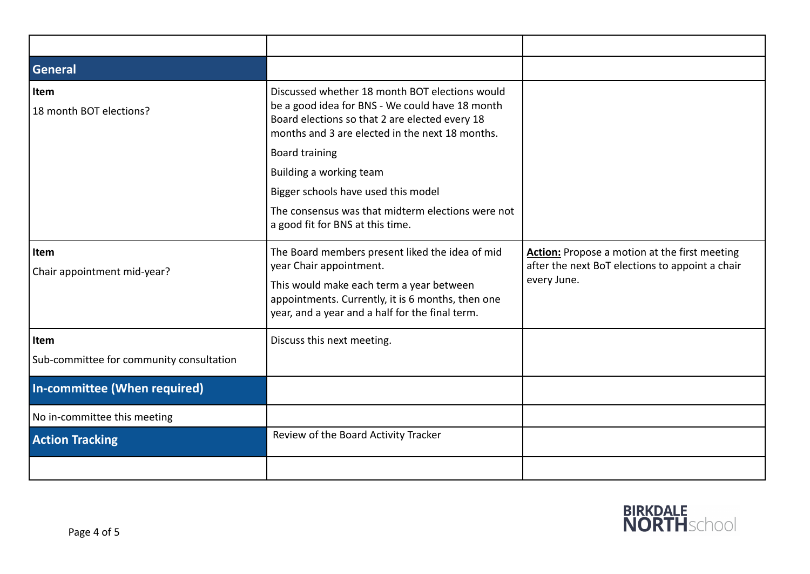| <b>General</b>                                   |                                                                                                                                                                                                                                                                                                                                                        |                                                                                                                        |
|--------------------------------------------------|--------------------------------------------------------------------------------------------------------------------------------------------------------------------------------------------------------------------------------------------------------------------------------------------------------------------------------------------------------|------------------------------------------------------------------------------------------------------------------------|
| Item<br>18 month BOT elections?                  | Discussed whether 18 month BOT elections would<br>be a good idea for BNS - We could have 18 month<br>Board elections so that 2 are elected every 18<br>months and 3 are elected in the next 18 months.<br><b>Board training</b><br>Building a working team<br>Bigger schools have used this model<br>The consensus was that midterm elections were not |                                                                                                                        |
|                                                  | a good fit for BNS at this time.                                                                                                                                                                                                                                                                                                                       |                                                                                                                        |
| Item<br>Chair appointment mid-year?              | The Board members present liked the idea of mid<br>year Chair appointment.<br>This would make each term a year between<br>appointments. Currently, it is 6 months, then one<br>year, and a year and a half for the final term.                                                                                                                         | <b>Action:</b> Propose a motion at the first meeting<br>after the next BoT elections to appoint a chair<br>every June. |
| Item<br>Sub-committee for community consultation | Discuss this next meeting.                                                                                                                                                                                                                                                                                                                             |                                                                                                                        |
| In-committee (When required)                     |                                                                                                                                                                                                                                                                                                                                                        |                                                                                                                        |
| No in-committee this meeting                     |                                                                                                                                                                                                                                                                                                                                                        |                                                                                                                        |
| <b>Action Tracking</b>                           | Review of the Board Activity Tracker                                                                                                                                                                                                                                                                                                                   |                                                                                                                        |
|                                                  |                                                                                                                                                                                                                                                                                                                                                        |                                                                                                                        |